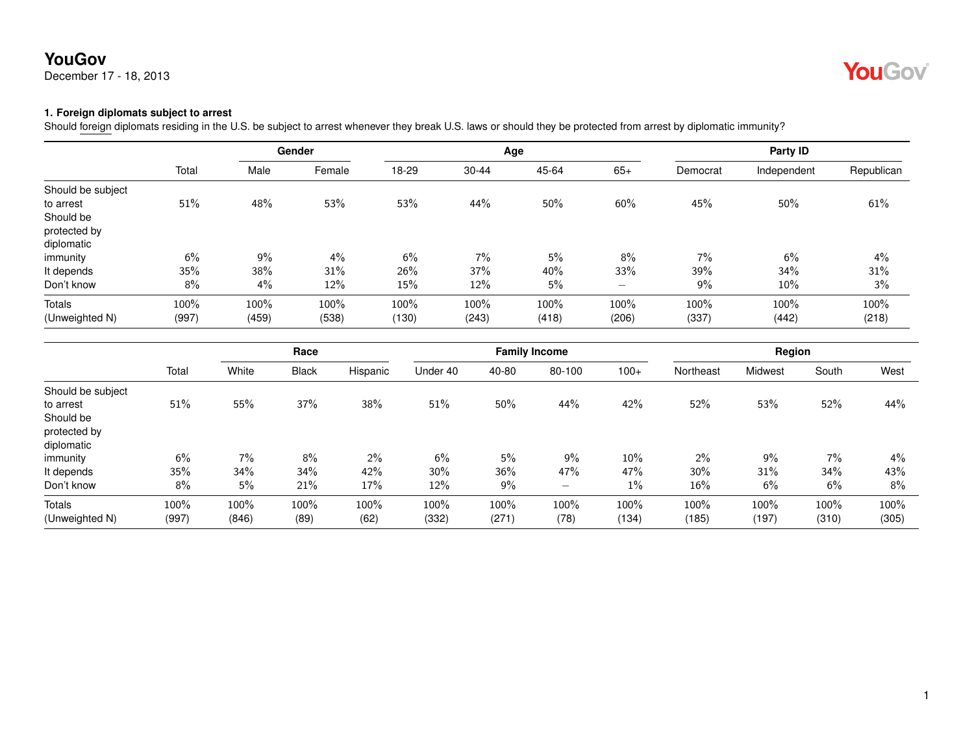December 17 - 18, 2013



#### **1. Foreign diplomats subject to arrest**

Should foreign diplomats residing in the U.S. be subject to arrest whenever they break U.S. laws or should they be protected from arrest by diplomatic immunity?

|                   |       | Gender |        |       |           | Age   |                                |          | Party ID    |            |
|-------------------|-------|--------|--------|-------|-----------|-------|--------------------------------|----------|-------------|------------|
|                   | Total | Male   | Female | 18-29 | $30 - 44$ | 45-64 | $65+$                          | Democrat | Independent | Republican |
| Should be subject |       |        |        |       |           |       |                                |          |             |            |
| to arrest         | 51%   | 48%    | 53%    | 53%   | 44%       | 50%   | 60%                            | 45%      | 50%         | 61%        |
| Should be         |       |        |        |       |           |       |                                |          |             |            |
| protected by      |       |        |        |       |           |       |                                |          |             |            |
| diplomatic        |       |        |        |       |           |       |                                |          |             |            |
| immunity          | 6%    | 9%     | 4%     | 6%    | 7%        | 5%    | 8%                             | 7%       | 6%          | 4%         |
| It depends        | 35%   | 38%    | 31%    | 26%   | 37%       | 40%   | 33%                            | 39%      | 34%         | 31%        |
| Don't know        | 8%    | 4%     | 12%    | 15%   | 12%       | 5%    | $\qquad \qquad \longleftarrow$ | 9%       | 10%         | 3%         |
| Totals            | 100%  | 100%   | 100%   | 100%  | 100%      | 100%  | 100%                           | 100%     | 100%        | 100%       |
| (Unweighted N)    | (997) | (459)  | (538)  | (130) | (243)     | (418) | (206)                          | (337)    | (442)       | (218)      |

|                   |       |       | Race         |          |          |       | <b>Family Income</b>            |        |           | Region  |       |       |
|-------------------|-------|-------|--------------|----------|----------|-------|---------------------------------|--------|-----------|---------|-------|-------|
|                   | Total | White | <b>Black</b> | Hispanic | Under 40 | 40-80 | 80-100                          | $100+$ | Northeast | Midwest | South | West  |
| Should be subject |       |       |              |          |          |       |                                 |        |           |         |       |       |
| to arrest         | 51%   | 55%   | 37%          | 38%      | 51%      | 50%   | 44%                             | 42%    | 52%       | 53%     | 52%   | 44%   |
| Should be         |       |       |              |          |          |       |                                 |        |           |         |       |       |
| protected by      |       |       |              |          |          |       |                                 |        |           |         |       |       |
| diplomatic        |       |       |              |          |          |       |                                 |        |           |         |       |       |
| immunity          | 6%    | 7%    | 8%           | 2%       | 6%       | 5%    | 9%                              | 10%    | 2%        | 9%      | 7%    | $4\%$ |
| It depends        | 35%   | 34%   | 34%          | 42%      | 30%      | 36%   | 47%                             | 47%    | 30%       | 31%     | 34%   | 43%   |
| Don't know        | 8%    | 5%    | 21%          | 17%      | 12%      | 9%    | $\hspace{0.1mm}-\hspace{0.1mm}$ | 1%     | 16%       | 6%      | 6%    | 8%    |
| Totals            | 100%  | 100%  | 100%         | 100%     | 100%     | 100%  | 100%                            | 100%   | 100%      | 100%    | 100%  | 100%  |
| (Unweighted N)    | (997) | (846) | (89)         | (62)     | (332)    | (271) | (78)                            | (134)  | (185)     | (197)   | (310) | (305) |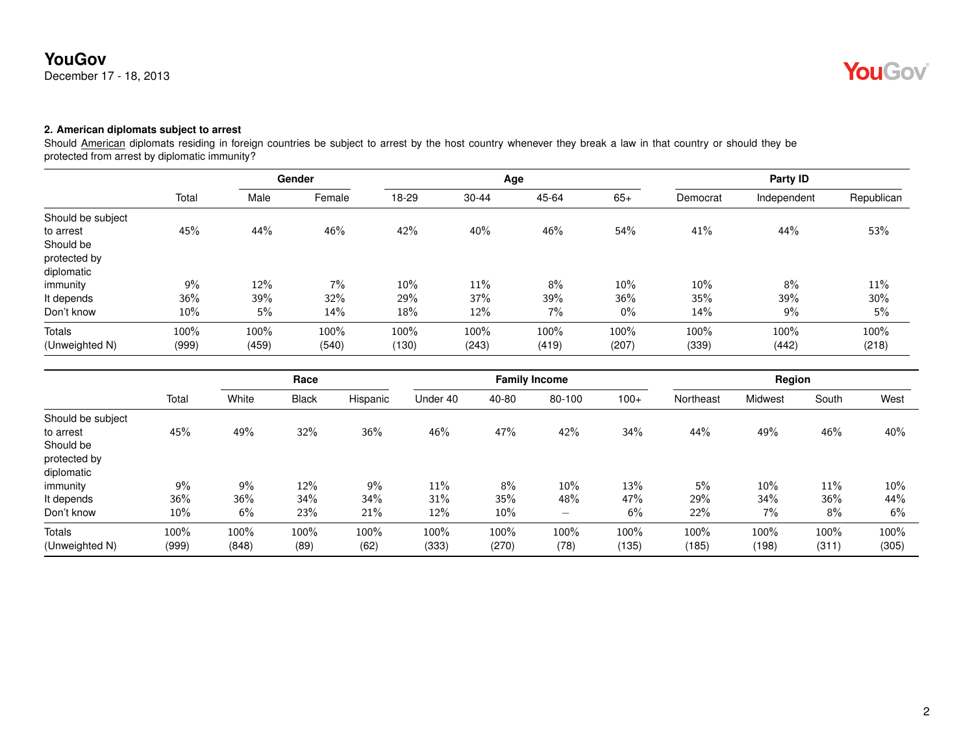December 17 - 18, 2013

# **YouGov**

### **2. American diplomats subject to arrest**

Should American diplomats residing in foreign countries be subject to arrest by the host country whenever they break a law in that country or should they be protected from arrest by diplomatic immunity?

|                   |       |       | Gender |       |       | Age   |       |          | Party ID    |            |
|-------------------|-------|-------|--------|-------|-------|-------|-------|----------|-------------|------------|
|                   | Total | Male  | Female | 18-29 | 30-44 | 45-64 | $65+$ | Democrat | Independent | Republican |
| Should be subject |       |       |        |       |       |       |       |          |             |            |
| to arrest         | 45%   | 44%   | 46%    | 42%   | 40%   | 46%   | 54%   | 41%      | 44%         | 53%        |
| Should be         |       |       |        |       |       |       |       |          |             |            |
| protected by      |       |       |        |       |       |       |       |          |             |            |
| diplomatic        |       |       |        |       |       |       |       |          |             |            |
| immunity          | 9%    | 12%   | 7%     | 10%   | 11%   | 8%    | 10%   | 10%      | 8%          | 11%        |
| It depends        | 36%   | 39%   | 32%    | 29%   | 37%   | 39%   | 36%   | 35%      | 39%         | 30%        |
| Don't know        | 10%   | 5%    | 14%    | 18%   | 12%   | 7%    | $0\%$ | 14%      | 9%          | 5%         |
| Totals            | 100%  | 100%  | 100%   | 100%  | 100%  | 100%  | 100%  | 100%     | 100%        | 100%       |
| (Unweighted N)    | (999) | (459) | (540)  | (130) | (243) | (419) | (207) | (339)    | (442)       | (218)      |

|                   |        |       | Race         |          |          |       | <b>Family Income</b>                  |        |           | Region  |       |       |
|-------------------|--------|-------|--------------|----------|----------|-------|---------------------------------------|--------|-----------|---------|-------|-------|
|                   | Total  | White | <b>Black</b> | Hispanic | Under 40 | 40-80 | 80-100                                | $100+$ | Northeast | Midwest | South | West  |
| Should be subject |        |       |              |          |          |       |                                       |        |           |         |       |       |
| to arrest         | 45%    | 49%   | 32%          | 36%      | 46%      | 47%   | 42%                                   | 34%    | 44%       | 49%     | 46%   | 40%   |
| Should be         |        |       |              |          |          |       |                                       |        |           |         |       |       |
| protected by      |        |       |              |          |          |       |                                       |        |           |         |       |       |
| diplomatic        |        |       |              |          |          |       |                                       |        |           |         |       |       |
| immunity          | $9\%$  | 9%    | 12%          | 9%       | 11%      | 8%    | 10%                                   | 13%    | 5%        | 10%     | 11%   | 10%   |
| It depends        | 36%    | 36%   | 34%          | 34%      | 31%      | 35%   | 48%                                   | 47%    | 29%       | 34%     | 36%   | 44%   |
| Don't know        | $10\%$ | 6%    | 23%          | 21%      | 12%      | 10%   | $\hspace{1.0cm} \rule{1.5cm}{0.15cm}$ | 6%     | 22%       | 7%      | 8%    | 6%    |
| Totals            | 100%   | 100%  | 100%         | 100%     | 100%     | 100%  | 100%                                  | 100%   | 100%      | 100%    | 100%  | 100%  |
| (Unweighted N)    | (999)  | (848) | (89)         | (62)     | (333)    | (270) | (78)                                  | (135)  | (185)     | (198)   | (311) | (305) |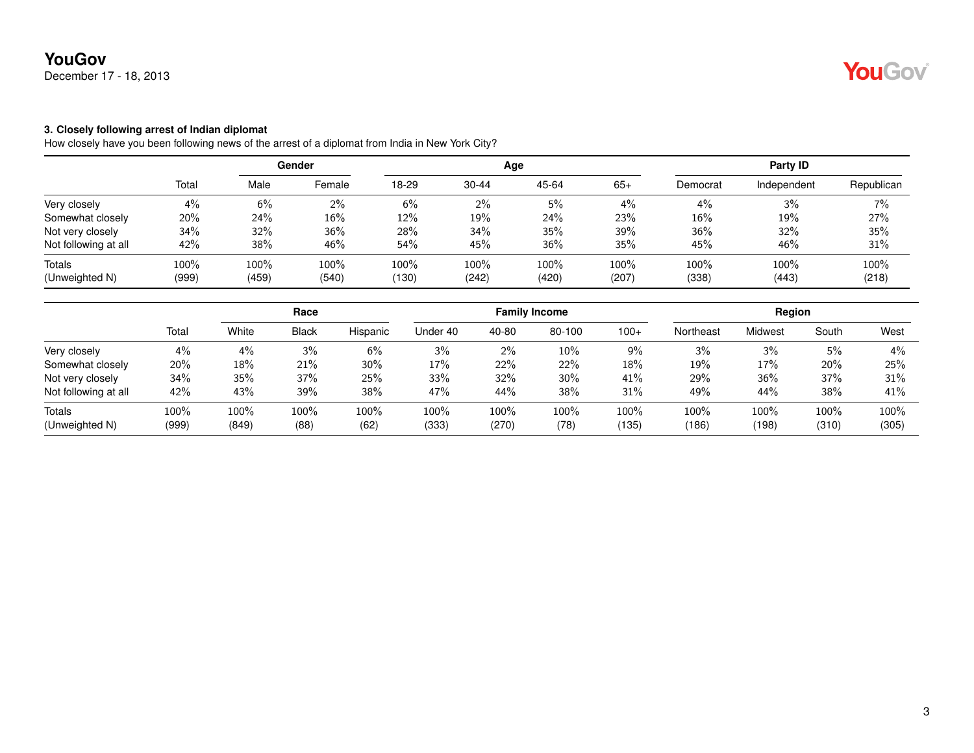December 17 - 18, 2013

#### **3. Closely following arrest of Indian diplomat**

How closely have you been following news of the arrest of a diplomat from India in New York City?

|                      |       |         | Gender |       |           | Age   | Party ID |          |             |            |
|----------------------|-------|---------|--------|-------|-----------|-------|----------|----------|-------------|------------|
|                      | Total | Male    | Female | 18-29 | $30 - 44$ | 45-64 | $65+$    | Democrat | Independent | Republican |
| Very closely         | 4%    | 6%      | $2\%$  | 6%    | 2%        | 5%    | 4%       | 4%       | 3%          | 7%         |
| Somewhat closely     | 20%   | 24%     | 16%    | 12%   | 19%       | 24%   | 23%      | 16%      | 19%         | 27%        |
| Not very closely     | 34%   | 32%     | 36%    | 28%   | 34%       | 35%   | 39%      | 36%      | 32%         | 35%        |
| Not following at all | 42%   | 38%     | 46%    | 54%   | 45%       | 36%   | 35%      | 45%      | 46%         | 31%        |
| Totals               | 100%  | $100\%$ | 100%   | 100%  | 100%      | 100%  | 100%     | 100%     | 100%        | 100%       |
| (Unweighted N)       | (999) | (459)   | (540)  | (130) | (242)     | (420) | (207)    | (338)    | (443)       | (218)      |

|                      |         | Race  |              |          | <b>Family Income</b> |       |         |        | Region    |         |       |       |
|----------------------|---------|-------|--------------|----------|----------------------|-------|---------|--------|-----------|---------|-------|-------|
|                      | Total   | White | <b>Black</b> | Hispanic | Under 40             | 40-80 | 80-100  | $100+$ | Northeast | Midwest | South | West  |
| Very closely         | $4\%$   | 4%    | 3%           | 6%       | 3%                   | 2%    | $10\%$  | 9%     | 3%        | 3%      | 5%    | 4%    |
| Somewhat closely     | 20%     | 18%   | 21%          | $30\%$   | 17%                  | 22%   | 22%     | $18\%$ | 19%       | 17%     | 20%   | 25%   |
| Not very closely     | 34%     | 35%   | 37%          | 25%      | 33%                  | 32%   | 30%     | 41%    | 29%       | 36%     | 37%   | 31%   |
| Not following at all | 42%     | 43%   | 39%          | 38%      | 47%                  | 44%   | 38%     | 31%    | 49%       | 44%     | 38%   | 41%   |
| Totals               | $100\%$ | 100%  | 100%         | 100%     | 100%                 | 100%  | $100\%$ | 100%   | 100%      | 100%    | 100%  | 100%  |
| (Unweighted N)       | (999)   | (849) | (88)         | (62)     | (333)                | (270) | (78)    | (135)  | (186)     | (198)   | (310) | (305) |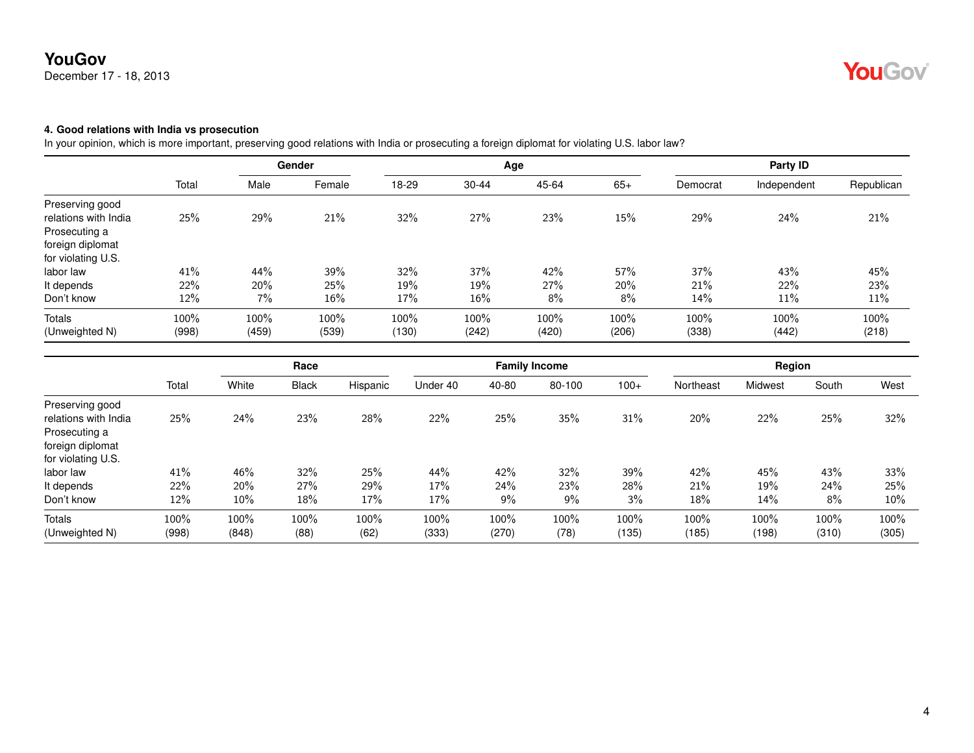December 17 - 18, 2013

# YouGov®

### **4. Good relations with India vs prosecution**

In your opinion, which is more important, preserving good relations with India or prosecuting a foreign diplomat for violating U.S. labor law?

|                      |       | Gender |        |       |           | Age   |       | Party ID |             |            |  |
|----------------------|-------|--------|--------|-------|-----------|-------|-------|----------|-------------|------------|--|
|                      | Total | Male   | Female | 18-29 | $30 - 44$ | 45-64 | $65+$ | Democrat | Independent | Republican |  |
| Preserving good      |       |        |        |       |           |       |       |          |             |            |  |
| relations with India | 25%   | 29%    | 21%    | 32%   | 27%       | 23%   | 15%   | 29%      | 24%         | 21%        |  |
| Prosecuting a        |       |        |        |       |           |       |       |          |             |            |  |
| foreign diplomat     |       |        |        |       |           |       |       |          |             |            |  |
| for violating U.S.   |       |        |        |       |           |       |       |          |             |            |  |
| labor law            | 41%   | 44%    | 39%    | 32%   | 37%       | 42%   | 57%   | 37%      | 43%         | 45%        |  |
| It depends           | 22%   | 20%    | 25%    | 19%   | 19%       | 27%   | 20%   | 21%      | 22%         | 23%        |  |
| Don't know           | 12%   | $7\%$  | 16%    | 17%   | 16%       | 8%    | 8%    | 14%      | 11%         | 11%        |  |
| Totals               | 100%  | 100%   | 100%   | 100%  | 100%      | 100%  | 100%  | 100%     | 100%        | 100%       |  |
| (Unweighted N)       | (998) | (459)  | (539)  | (130) | (242)     | (420) | (206) | (338)    | (442)       | (218)      |  |

|                                                                                                    |                   |                      | Race              |                   |                   |                  | <b>Family Income</b> |                  |                   | Region            |                  |                   |
|----------------------------------------------------------------------------------------------------|-------------------|----------------------|-------------------|-------------------|-------------------|------------------|----------------------|------------------|-------------------|-------------------|------------------|-------------------|
|                                                                                                    | Total             | White                | <b>Black</b>      | Hispanic          | Under 40          | 40-80            | 80-100               | $100+$           | Northeast         | Midwest           | South            | West              |
| Preserving good<br>relations with India<br>Prosecuting a<br>foreign diplomat<br>for violating U.S. | 25%               | 24%                  | 23%               | 28%               | 22%               | 25%              | 35%                  | 31%              | 20%               | 22%               | 25%              | 32%               |
| labor law<br>It depends<br>Don't know                                                              | 41%<br>22%<br>12% | 46%<br>20%<br>$10\%$ | 32%<br>27%<br>18% | 25%<br>29%<br>17% | 44%<br>17%<br>17% | 42%<br>24%<br>9% | 32%<br>23%<br>9%     | 39%<br>28%<br>3% | 42%<br>21%<br>18% | 45%<br>19%<br>14% | 43%<br>24%<br>8% | 33%<br>25%<br>10% |
| <b>Totals</b><br>(Unweighted N)                                                                    | 100%<br>(998)     | 100%<br>(848)        | 100%<br>(88)      | 100%<br>(62)      | 100%<br>(333)     | 100%<br>(270)    | 100%<br>(78)         | 100%<br>(135)    | 100%<br>(185)     | 100%<br>(198)     | 100%<br>(310)    | 100%<br>(305)     |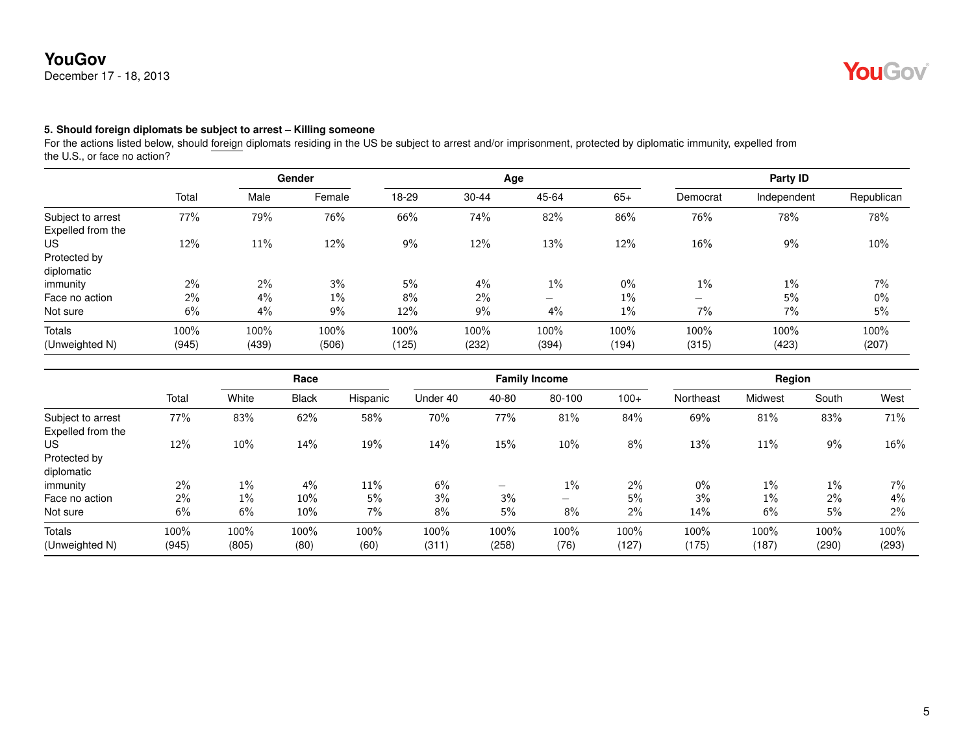December 17 - 18, 2013

### **5. Should foreign diplomats be subject to arrest – Killing someone**

For the actions listed below, should foreign diplomats residing in the US be subject to arrest and/or imprisonment, protected by diplomatic immunity, expelled from the U.S., or face no action?

|                   |       | Gender |        |       |       | Age   |       |                          | Party ID    |            |
|-------------------|-------|--------|--------|-------|-------|-------|-------|--------------------------|-------------|------------|
|                   | Total | Male   | Female | 18-29 | 30-44 | 45-64 | $65+$ | Democrat                 | Independent | Republican |
| Subject to arrest | 77%   | 79%    | 76%    | 66%   | 74%   | 82%   | 86%   | 76%                      | 78%         | 78%        |
| Expelled from the |       |        |        |       |       |       |       |                          |             |            |
| US                | 12%   | 11%    | 12%    | 9%    | 12%   | 13%   | 12%   | $16\%$                   | 9%          | 10%        |
| Protected by      |       |        |        |       |       |       |       |                          |             |            |
| diplomatic        |       |        |        |       |       |       |       |                          |             |            |
| immunity          | 2%    | 2%     | 3%     | 5%    | 4%    | $1\%$ | $0\%$ | $1\%$                    | $1\%$       | 7%         |
| Face no action    | 2%    | 4%     | $1\%$  | 8%    | $2\%$ |       | $1\%$ | $\overline{\phantom{0}}$ | 5%          | $0\%$      |
| Not sure          | 6%    | 4%     | 9%     | 12%   | 9%    | 4%    | $1\%$ | 7%                       | 7%          | 5%         |
| <b>Totals</b>     | 100%  | 100%   | 100%   | 100%  | 100%  | 100%  | 100%  | 100%                     | 100%        | 100%       |
| (Unweighted N)    | (945) | (439)  | (506)  | (125) | (232) | (394) | (194) | (315)                    | (423)       | (207)      |

|                   |       |       | Race         |          |          |       | <b>Family Income</b>     |        |           | Region  |       |        |
|-------------------|-------|-------|--------------|----------|----------|-------|--------------------------|--------|-----------|---------|-------|--------|
|                   | Total | White | <b>Black</b> | Hispanic | Under 40 | 40-80 | 80-100                   | $100+$ | Northeast | Midwest | South | West   |
| Subject to arrest | 77%   | 83%   | 62%          | 58%      | 70%      | 77%   | 81%                      | 84%    | 69%       | 81%     | 83%   | 71%    |
| Expelled from the |       |       |              |          |          |       |                          |        |           |         |       |        |
| US.               | 12%   | 10%   | 14%          | 19%      | 14%      | 15%   | 10%                      | 8%     | 13%       | 11%     | 9%    | $16\%$ |
| Protected by      |       |       |              |          |          |       |                          |        |           |         |       |        |
| diplomatic        |       |       |              |          |          |       |                          |        |           |         |       |        |
| immunity          | 2%    | $1\%$ | 4%           | 11%      | 6%       | -     | $1\%$                    | 2%     | 0%        | 1%      | $1\%$ | $7\%$  |
| Face no action    | 2%    | 1%    | 10%          | 5%       | 3%       | 3%    | $\overline{\phantom{0}}$ | 5%     | 3%        | $1\%$   | $2\%$ | $4\%$  |
| Not sure          | 6%    | 6%    | 10%          | 7%       | 8%       | 5%    | 8%                       | 2%     | 14%       | 6%      | 5%    | 2%     |
| Totals            | 100%  | 100%  | 100%         | 100%     | 100%     | 100%  | 100%                     | 100%   | 100%      | 100%    | 100%  | 100%   |
| (Unweighted N)    | (945) | (805) | (80)         | (60)     | (311)    | (258) | (76)                     | (127)  | (175)     | (187)   | (290) | (293)  |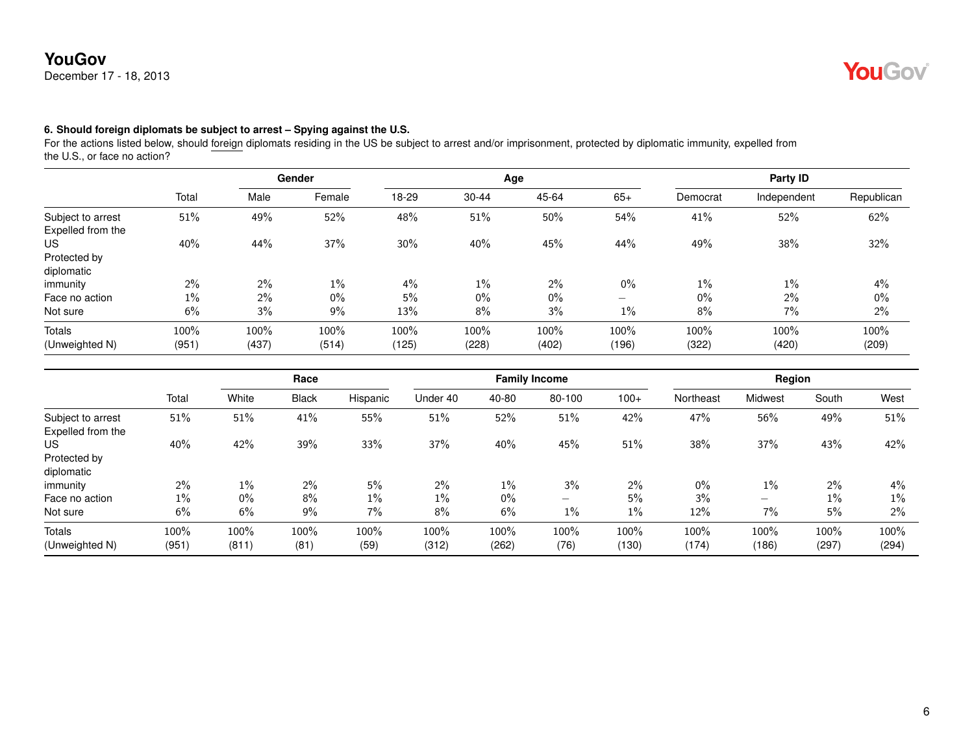December 17 - 18, 2013

#### **6. Should foreign diplomats be subject to arrest – Spying against the U.S.**

For the actions listed below, should foreign diplomats residing in the US be subject to arrest and/or imprisonment, protected by diplomatic immunity, expelled from the U.S., or face no action?

|                   |       | Gender |        |       |       | Age   |                          |          | Party ID    |            |
|-------------------|-------|--------|--------|-------|-------|-------|--------------------------|----------|-------------|------------|
|                   | Total | Male   | Female | 18-29 | 30-44 | 45-64 | $65+$                    | Democrat | Independent | Republican |
| Subject to arrest | 51%   | 49%    | 52%    | 48%   | 51%   | 50%   | 54%                      | 41%      | 52%         | 62%        |
| Expelled from the |       |        |        |       |       |       |                          |          |             |            |
| US                | 40%   | 44%    | 37%    | 30%   | 40%   | 45%   | 44%                      | 49%      | 38%         | 32%        |
| Protected by      |       |        |        |       |       |       |                          |          |             |            |
| diplomatic        |       |        |        |       |       |       |                          |          |             |            |
| immunity          | 2%    | 2%     | $1\%$  | 4%    | 1%    | 2%    | $0\%$                    | $1\%$    | $1\%$       | 4%         |
| Face no action    | $1\%$ | $2\%$  | $0\%$  | 5%    | $0\%$ | $0\%$ | $\overline{\phantom{0}}$ | $0\%$    | 2%          | $0\%$      |
| Not sure          | 6%    | 3%     | 9%     | 13%   | 8%    | 3%    | 1%                       | 8%       | 7%          | 2%         |
| <b>Totals</b>     | 100%  | 100%   | 100%   | 100%  | 100%  | 100%  | 100%                     | 100%     | 100%        | 100%       |
| (Unweighted N)    | (951) | (437)  | (514)  | (125) | (228) | (402) | (196)                    | (322)    | (420)       | (209)      |

|                   |       |       | Race         |          |          |       | <b>Family Income</b> |        |           | Region                   |       |       |
|-------------------|-------|-------|--------------|----------|----------|-------|----------------------|--------|-----------|--------------------------|-------|-------|
|                   | Total | White | <b>Black</b> | Hispanic | Under 40 | 40-80 | 80-100               | $100+$ | Northeast | Midwest                  | South | West  |
| Subject to arrest | 51%   | 51%   | 41%          | 55%      | 51%      | 52%   | 51%                  | 42%    | 47%       | 56%                      | 49%   | 51%   |
| Expelled from the |       |       |              |          |          |       |                      |        |           |                          |       |       |
| US.               | 40%   | 42%   | 39%          | 33%      | 37%      | 40%   | 45%                  | 51%    | 38%       | 37%                      | 43%   | 42%   |
| Protected by      |       |       |              |          |          |       |                      |        |           |                          |       |       |
| diplomatic        |       |       |              |          |          |       |                      |        |           |                          |       |       |
| immunity          | 2%    | $1\%$ | 2%           | 5%       | 2%       | $1\%$ | 3%                   | 2%     | $0\%$     | 1%                       | 2%    | $4\%$ |
| Face no action    | $1\%$ | 0%    | 8%           | $1\%$    | $1\%$    | $0\%$ |                      | 5%     | 3%        | $\overline{\phantom{0}}$ | $1\%$ | $1\%$ |
| Not sure          | 6%    | 6%    | 9%           | 7%       | 8%       | 6%    | 1%                   | 1%     | 12%       | 7%                       | 5%    | 2%    |
| Totals            | 100%  | 100%  | 100%         | 100%     | 100%     | 100%  | 100%                 | 100%   | 100%      | 100%                     | 100%  | 100%  |
| (Unweighted N)    | (951) | (811) | (81)         | (59)     | (312)    | (262) | (76)                 | (130)  | (174)     | (186)                    | (297) | (294) |

YouGov®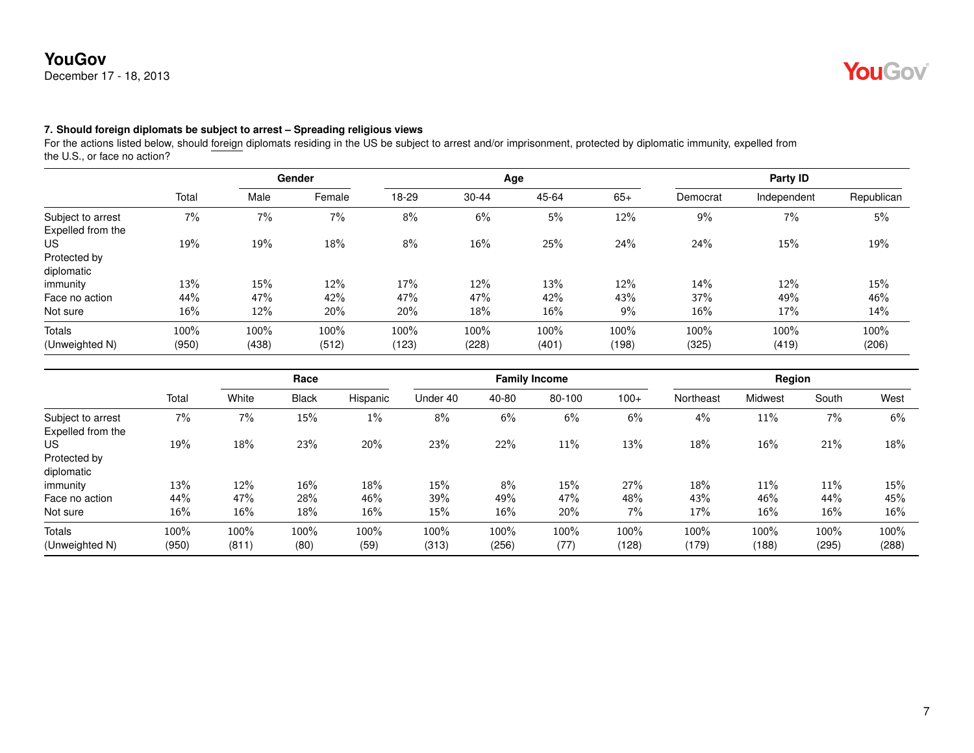December 17 - 18, 2013

# YouGov®

### **7. Should foreign diplomats be subject to arrest – Spreading religious views**

For the actions listed below, should foreign diplomats residing in the US be subject to arrest and/or imprisonment, protected by diplomatic immunity, expelled from the U.S., or face no action?

|                   |       | Gender |        |       |       | Age   |       |          | Party ID    |            |
|-------------------|-------|--------|--------|-------|-------|-------|-------|----------|-------------|------------|
|                   | Total | Male   | Female | 18-29 | 30-44 | 45-64 | $65+$ | Democrat | Independent | Republican |
| Subject to arrest | 7%    | 7%     | 7%     | 8%    | 6%    | 5%    | 12%   | 9%       | 7%          | 5%         |
| Expelled from the |       |        |        |       |       |       |       |          |             |            |
| US.               | 19%   | 19%    | 18%    | 8%    | 16%   | 25%   | 24%   | 24%      | 15%         | 19%        |
| Protected by      |       |        |        |       |       |       |       |          |             |            |
| diplomatic        |       |        |        |       |       |       |       |          |             |            |
| immunity          | 13%   | 15%    | 12%    | 17%   | 12%   | 13%   | 12%   | 14%      | 12%         | 15%        |
| Face no action    | 44%   | 47%    | 42%    | 47%   | 47%   | 42%   | 43%   | 37%      | 49%         | 46%        |
| Not sure          | 16%   | 12%    | 20%    | 20%   | 18%   | 16%   | 9%    | 16%      | 17%         | 14%        |
| Totals            | 100%  | 100%   | 100%   | 100%  | 100%  | 100%  | 100%  | 100%     | 100%        | 100%       |
| (Unweighted N)    | (950) | (438)  | (512)  | (123) | (228) | (401) | (198) | (325)    | (419)       | (206)      |

|                   |        |       | Race         |          |          |        | <b>Family Income</b> |        |           | Region  |       |        |
|-------------------|--------|-------|--------------|----------|----------|--------|----------------------|--------|-----------|---------|-------|--------|
|                   | Total  | White | <b>Black</b> | Hispanic | Under 40 | 40-80  | 80-100               | $100+$ | Northeast | Midwest | South | West   |
| Subject to arrest | 7%     | 7%    | 15%          | $1\%$    | 8%       | 6%     | 6%                   | 6%     | 4%        | 11%     | 7%    | 6%     |
| Expelled from the |        |       |              |          |          |        |                      |        |           |         |       |        |
| US.               | 19%    | 18%   | 23%          | 20%      | 23%      | 22%    | 11%                  | 13%    | 18%       | 16%     | 21%   | 18%    |
| Protected by      |        |       |              |          |          |        |                      |        |           |         |       |        |
| diplomatic        |        |       |              |          |          |        |                      |        |           |         |       |        |
| immunity          | 13%    | 12%   | 16%          | 18%      | 15%      | 8%     | 15%                  | 27%    | 18%       | 11%     | 11%   | 15%    |
| Face no action    | 44%    | 47%   | 28%          | 46%      | 39%      | 49%    | 47%                  | 48%    | 43%       | 46%     | 44%   | 45%    |
| Not sure          | $16\%$ | 16%   | 18%          | 16%      | 15%      | $16\%$ | 20%                  | 7%     | 17%       | 16%     | 16%   | $16\%$ |
| Totals            | 100%   | 100%  | 100%         | 100%     | 100%     | 100%   | 100%                 | 100%   | 100%      | 100%    | 100%  | 100%   |
| (Unweighted N)    | (950)  | (811) | (80)         | (59)     | (313)    | (256)  | (77)                 | (128)  | (179)     | (188)   | (295) | (288)  |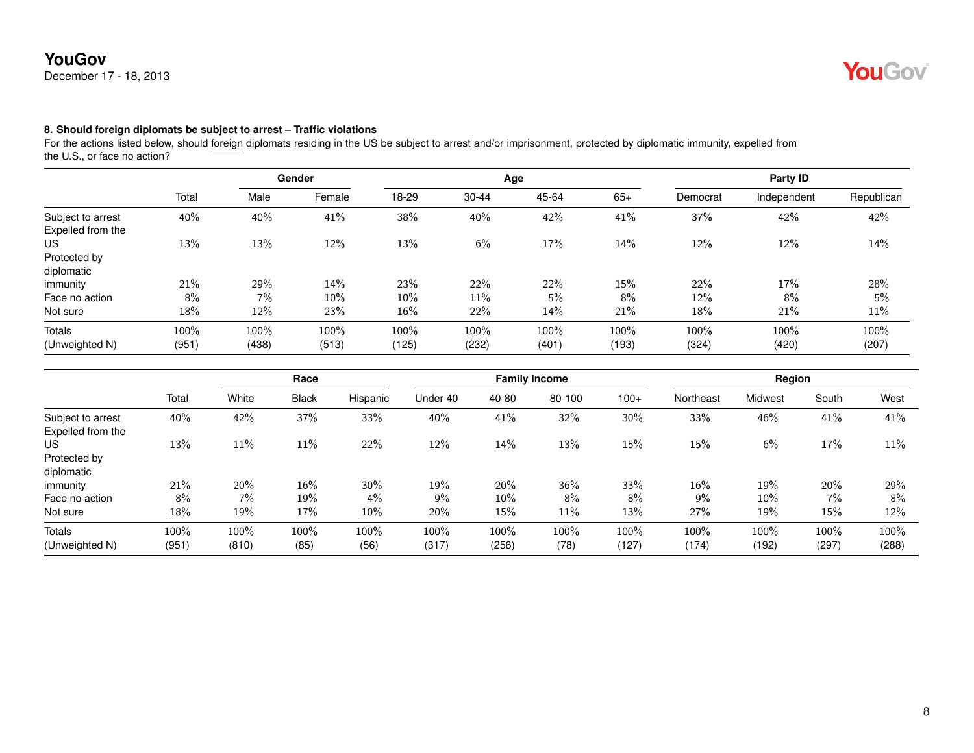December 17 - 18, 2013

### **8. Should foreign diplomats be subject to arrest – Traffic violations**

For the actions listed below, should foreign diplomats residing in the US be subject to arrest and/or imprisonment, protected by diplomatic immunity, expelled from the U.S., or face no action?

|                   |       | Gender |        |        |       | Age   |       |          | Party ID    |            |
|-------------------|-------|--------|--------|--------|-------|-------|-------|----------|-------------|------------|
|                   | Total | Male   | Female | 18-29  | 30-44 | 45-64 | $65+$ | Democrat | Independent | Republican |
| Subject to arrest | 40%   | 40%    | 41%    | 38%    | 40%   | 42%   | 41%   | 37%      | 42%         | 42%        |
| Expelled from the |       |        |        |        |       |       |       |          |             |            |
| US                | 13%   | 13%    | 12%    | 13%    | 6%    | 17%   | 14%   | 12%      | 12%         | 14%        |
| Protected by      |       |        |        |        |       |       |       |          |             |            |
| diplomatic        |       |        |        |        |       |       |       |          |             |            |
| immunity          | 21%   | 29%    | 14%    | 23%    | 22%   | 22%   | 15%   | 22%      | 17%         | 28%        |
| Face no action    | 8%    | 7%     | $10\%$ | $10\%$ | 11%   | 5%    | 8%    | 12%      | 8%          | 5%         |
| Not sure          | 18%   | 12%    | 23%    | 16%    | 22%   | 14%   | 21%   | 18%      | 21%         | 11%        |
| <b>Totals</b>     | 100%  | 100%   | 100%   | 100%   | 100%  | 100%  | 100%  | 100%     | 100%        | 100%       |
| (Unweighted N)    | (951) | (438)  | (513)  | (125)  | (232) | (401) | (193) | (324)    | (420)       | (207)      |

|                   |       |       | Race         |          |          |       | <b>Family Income</b> |        |           | Region  |       |       |
|-------------------|-------|-------|--------------|----------|----------|-------|----------------------|--------|-----------|---------|-------|-------|
|                   | Total | White | <b>Black</b> | Hispanic | Under 40 | 40-80 | 80-100               | $100+$ | Northeast | Midwest | South | West  |
| Subject to arrest | 40%   | 42%   | 37%          | 33%      | 40%      | 41%   | 32%                  | 30%    | 33%       | 46%     | 41%   | 41%   |
| Expelled from the |       |       |              |          |          |       |                      |        |           |         |       |       |
| US.               | 13%   | 11%   | 11%          | 22%      | 12%      | 14%   | 13%                  | 15%    | 15%       | 6%      | 17%   | 11%   |
| Protected by      |       |       |              |          |          |       |                      |        |           |         |       |       |
| diplomatic        |       |       |              |          |          |       |                      |        |           |         |       |       |
| immunity          | 21%   | 20%   | $16\%$       | 30%      | 19%      | 20%   | 36%                  | 33%    | 16%       | 19%     | 20%   | 29%   |
| Face no action    | 8%    | 7%    | 19%          | 4%       | 9%       | 10%   | 8%                   | 8%     | 9%        | $10\%$  | 7%    | 8%    |
| Not sure          | 18%   | 19%   | 17%          | 10%      | 20%      | 15%   | 11%                  | 13%    | 27%       | 19%     | 15%   | 12%   |
| Totals            | 100%  | 100%  | 100%         | 100%     | 100%     | 100%  | 100%                 | 100%   | 100%      | 100%    | 100%  | 100%  |
| (Unweighted N)    | (951) | (810) | (85)         | (56)     | (317)    | (256) | (78)                 | (127)  | (174)     | (192)   | (297) | (288) |

YouGov®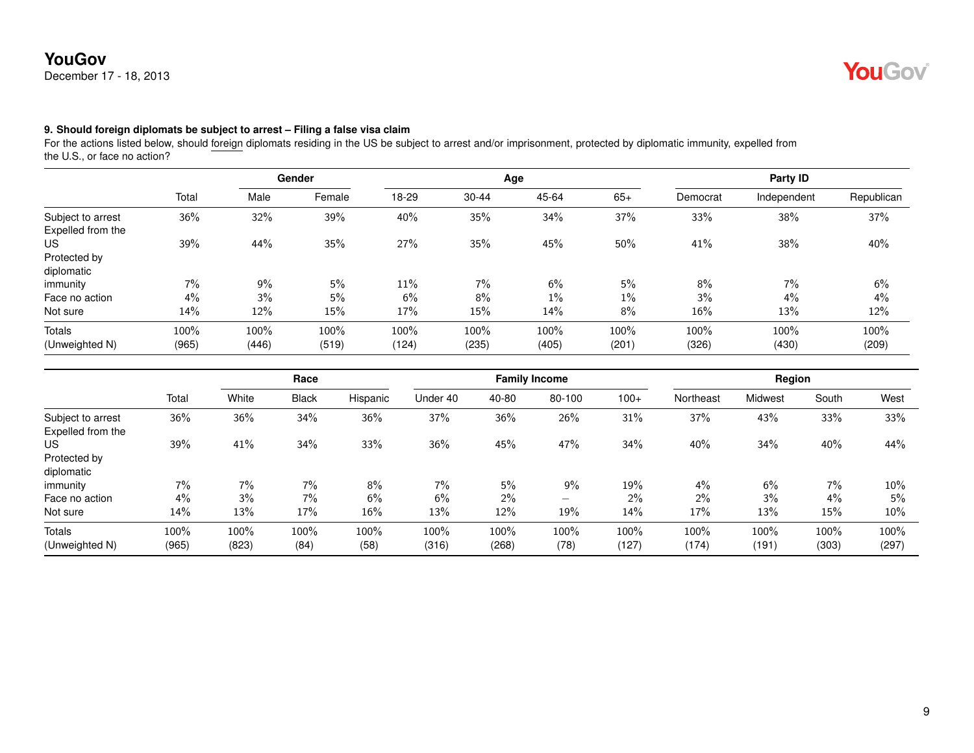December 17 - 18, 2013

**9. Should foreign diplomats be subject to arrest – Filing a false visa claim** For the actions listed below, should foreign diplomats residing in the US be subject to arrest and/or imprisonment, protected by diplomatic immunity, expelled from the U.S., or face no action?

|                                        |       |       | Gender |       |       | Age   |       |          | Party ID    |            |
|----------------------------------------|-------|-------|--------|-------|-------|-------|-------|----------|-------------|------------|
|                                        | Total | Male  | Female | 18-29 | 30-44 | 45-64 | $65+$ | Democrat | Independent | Republican |
| Subject to arrest<br>Expelled from the | 36%   | 32%   | 39%    | 40%   | 35%   | 34%   | 37%   | 33%      | 38%         | 37%        |
| <b>US</b>                              | 39%   | 44%   | 35%    | 27%   | 35%   | 45%   | 50%   | 41%      | 38%         | 40%        |
| Protected by                           |       |       |        |       |       |       |       |          |             |            |
| diplomatic                             |       |       |        |       |       |       |       |          |             |            |
| immunity                               | 7%    | 9%    | 5%     | 11%   | 7%    | 6%    | 5%    | 8%       | 7%          | 6%         |
| Face no action                         | 4%    | 3%    | 5%     | 6%    | 8%    | $1\%$ | $1\%$ | $3\%$    | $4\%$       | 4%         |
| Not sure                               | 14%   | 12%   | 15%    | 17%   | 15%   | 14%   | 8%    | $16\%$   | 13%         | 12%        |
| <b>Totals</b>                          | 100%  | 100%  | 100%   | 100%  | 100%  | 100%  | 100%  | 100%     | 100%        | 100%       |
| (Unweighted N)                         | (965) | (446) | (519)  | (124) | (235) | (405) | (201) | (326)    | (430)       | (209)      |

|                   |       |       | Race         |          |          |       | <b>Family Income</b>            |        |           | Region  |       |        |
|-------------------|-------|-------|--------------|----------|----------|-------|---------------------------------|--------|-----------|---------|-------|--------|
|                   | Total | White | <b>Black</b> | Hispanic | Under 40 | 40-80 | 80-100                          | $100+$ | Northeast | Midwest | South | West   |
| Subject to arrest | 36%   | 36%   | 34%          | 36%      | 37%      | 36%   | 26%                             | 31%    | 37%       | 43%     | 33%   | 33%    |
| Expelled from the |       |       |              |          |          |       |                                 |        |           |         |       |        |
| US                | 39%   | 41%   | 34%          | 33%      | 36%      | 45%   | 47%                             | 34%    | 40%       | 34%     | 40%   | 44%    |
| Protected by      |       |       |              |          |          |       |                                 |        |           |         |       |        |
| diplomatic        |       |       |              |          |          |       |                                 |        |           |         |       |        |
| immunity          | 7%    | 7%    | 7%           | 8%       | 7%       | 5%    | 9%                              | 19%    | 4%        | 6%      | 7%    | $10\%$ |
| Face no action    | $4\%$ | 3%    | 7%           | 6%       | 6%       | 2%    | $\hspace{0.1mm}-\hspace{0.1mm}$ | $2\%$  | 2%        | 3%      | $4\%$ | 5%     |
| Not sure          | 14%   | 13%   | 17%          | 16%      | 13%      | 12%   | 19%                             | 14%    | 17%       | 13%     | 15%   | $10\%$ |
| <b>Totals</b>     | 100%  | 100%  | 100%         | 100%     | 100%     | 100%  | 100%                            | 100%   | 100%      | 100%    | 100%  | 100%   |
| (Unweighted N)    | (965) | (823) | (84)         | (58)     | (316)    | (268) | (78)                            | (127)  | (174)     | (191)   | (303) | (297)  |

YouGov®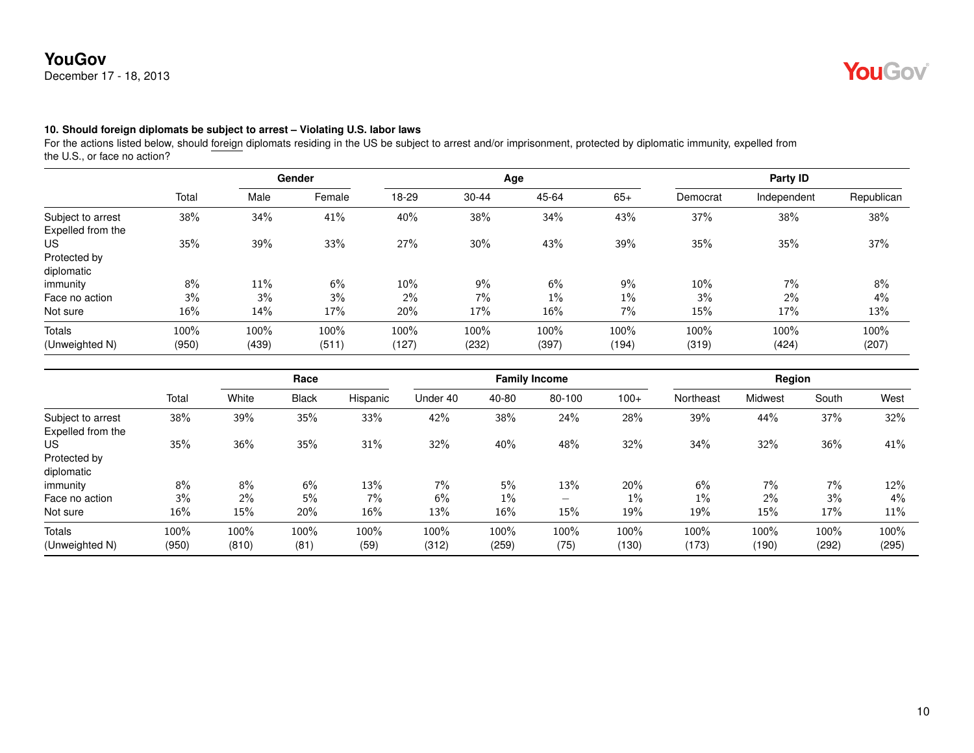December 17 - 18, 2013

# **YouGov**

### **10. Should foreign diplomats be subject to arrest – Violating U.S. labor laws**

For the actions listed below, should foreign diplomats residing in the US be subject to arrest and/or imprisonment, protected by diplomatic immunity, expelled from the U.S., or face no action?

|                   |       |       | Gender | Age    |       |       |       |          | Party ID    |            |
|-------------------|-------|-------|--------|--------|-------|-------|-------|----------|-------------|------------|
|                   | Total | Male  | Female | 18-29  | 30-44 | 45-64 | $65+$ | Democrat | Independent | Republican |
| Subject to arrest | 38%   | 34%   | 41%    | 40%    | 38%   | 34%   | 43%   | 37%      | 38%         | 38%        |
| Expelled from the |       |       |        |        |       |       |       |          |             |            |
| US                | 35%   | 39%   | 33%    | 27%    | 30%   | 43%   | 39%   | 35%      | 35%         | 37%        |
| Protected by      |       |       |        |        |       |       |       |          |             |            |
| diplomatic        |       |       |        |        |       |       |       |          |             |            |
| immunity          | 8%    | 11%   | 6%     | $10\%$ | 9%    | 6%    | 9%    | $10\%$   | 7%          | 8%         |
| Face no action    | 3%    | 3%    | 3%     | 2%     | 7%    | $1\%$ | $1\%$ | 3%       | $2\%$       | 4%         |
| Not sure          | 16%   | 14%   | 17%    | 20%    | 17%   | 16%   | 7%    | 15%      | 17%         | 13%        |
| <b>Totals</b>     | 100%  | 100%  | 100%   | 100%   | 100%  | 100%  | 100%  | 100%     | 100%        | 100%       |
| (Unweighted N)    | (950) | (439) | (511)  | (127)  | (232) | (397) | (194) | (319)    | (424)       | (207)      |

|                   |       |       | Race         |          |          |       | <b>Family Income</b> |        |           | Region  |       |       |
|-------------------|-------|-------|--------------|----------|----------|-------|----------------------|--------|-----------|---------|-------|-------|
|                   | Total | White | <b>Black</b> | Hispanic | Under 40 | 40-80 | 80-100               | $100+$ | Northeast | Midwest | South | West  |
| Subject to arrest | 38%   | 39%   | 35%          | 33%      | 42%      | 38%   | 24%                  | 28%    | 39%       | 44%     | 37%   | 32%   |
| Expelled from the |       |       |              |          |          |       |                      |        |           |         |       |       |
| US.               | 35%   | 36%   | 35%          | 31%      | 32%      | 40%   | 48%                  | 32%    | 34%       | 32%     | 36%   | 41%   |
| Protected by      |       |       |              |          |          |       |                      |        |           |         |       |       |
| diplomatic        |       |       |              |          |          |       |                      |        |           |         |       |       |
| immunity          | 8%    | 8%    | 6%           | 13%      | 7%       | 5%    | 13%                  | 20%    | 6%        | 7%      | $7\%$ | 12%   |
| Face no action    | 3%    | $2\%$ | 5%           | 7%       | 6%       | 1%    |                      | $1\%$  | $1\%$     | 2%      | 3%    | 4%    |
| Not sure          | 16%   | 15%   | 20%          | 16%      | 13%      | 16%   | 15%                  | 19%    | 19%       | 15%     | 17%   | 11%   |
| Totals            | 100%  | 100%  | 100%         | 100%     | 100%     | 100%  | 100%                 | 100%   | 100%      | 100%    | 100%  | 100%  |
| (Unweighted N)    | (950) | (810) | (81)         | (59)     | (312)    | (259) | (75)                 | (130)  | (173)     | (190)   | (292) | (295) |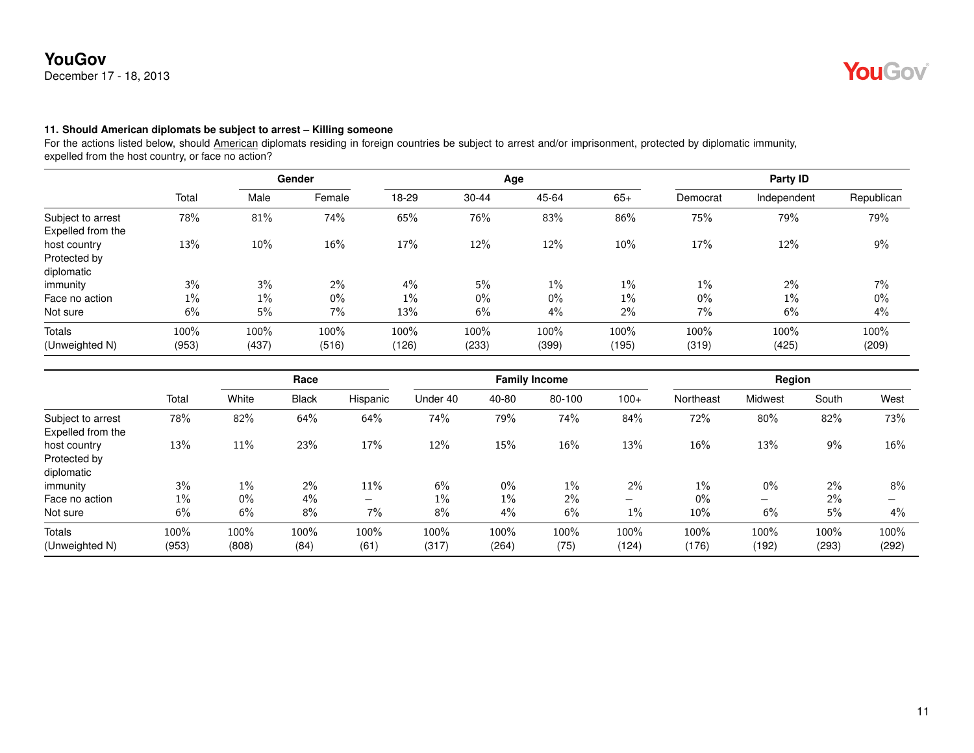December 17 - 18, 2013

### **11. Should American diplomats be subject to arrest – Killing someone**

For the actions listed below, should American diplomats residing in foreign countries be subject to arrest and/or imprisonment, protected by diplomatic immunity, expelled from the host country, or face no action?

|                   |       | Gender |        |       |       | Age   |       |          | Party ID    |            |
|-------------------|-------|--------|--------|-------|-------|-------|-------|----------|-------------|------------|
|                   | Total | Male   | Female | 18-29 | 30-44 | 45-64 | $65+$ | Democrat | Independent | Republican |
| Subject to arrest | 78%   | 81%    | 74%    | 65%   | 76%   | 83%   | 86%   | 75%      | 79%         | 79%        |
| Expelled from the |       |        |        |       |       |       |       |          |             |            |
| host country      | 13%   | 10%    | 16%    | 17%   | 12%   | 12%   | 10%   | 17%      | 12%         | 9%         |
| Protected by      |       |        |        |       |       |       |       |          |             |            |
| diplomatic        |       |        |        |       |       |       |       |          |             |            |
| immunity          | 3%    | 3%     | $2\%$  | 4%    | 5%    | $1\%$ | 1%    | $1\%$    | $2\%$       | 7%         |
| Face no action    | $1\%$ | $1\%$  | $0\%$  | 1%    | $0\%$ | 0%    | $1\%$ | $0\%$    | $1\%$       | 0%         |
| Not sure          | 6%    | 5%     | 7%     | 13%   | 6%    | 4%    | 2%    | 7%       | 6%          | 4%         |
| <b>Totals</b>     | 100%  | 100%   | 100%   | 100%  | 100%  | 100%  | 100%  | 100%     | 100%        | 100%       |
| (Unweighted N)    | (953) | (437)  | (516)  | (126) | (233) | (399) | (195) | (319)    | (425)       | (209)      |

|                                            |               |               | Race         |                          |               |               | <b>Family Income</b> |                          |               | Region                   |               |               |
|--------------------------------------------|---------------|---------------|--------------|--------------------------|---------------|---------------|----------------------|--------------------------|---------------|--------------------------|---------------|---------------|
|                                            | Total         | White         | <b>Black</b> | Hispanic                 | Under 40      | 40-80         | 80-100               | $100+$                   | Northeast     | Midwest                  | South         | West          |
| Subject to arrest<br>Expelled from the     | 78%           | 82%           | 64%          | 64%                      | 74%           | 79%           | 74%                  | 84%                      | 72%           | 80%                      | 82%           | 73%           |
| host country<br>Protected by<br>diplomatic | 13%           | 11%           | 23%          | 17%                      | 12%           | 15%           | 16%                  | 13%                      | 16%           | 13%                      | 9%            | $16\%$        |
| immunity                                   | 3%            | $1\%$         | 2%           | 11%                      | 6%            | $0\%$         | $1\%$                | 2%                       | 1%            | 0%                       | 2%            | 8%            |
| Face no action                             | $1\%$         | $0\%$         | $4\%$        | $\overline{\phantom{0}}$ | $1\%$         | $1\%$         | $2\%$                | $\overline{\phantom{0}}$ | 0%            | $\overline{\phantom{0}}$ | $2\%$         | -             |
| Not sure                                   | 6%            | 6%            | 8%           | 7%                       | 8%            | 4%            | 6%                   | 1%                       | 10%           | 6%                       | 5%            | $4\%$         |
| <b>Totals</b><br>(Unweighted N)            | 100%<br>(953) | 100%<br>(808) | 100%<br>(84) | 100%<br>(61)             | 100%<br>(317) | 100%<br>(264) | 100%<br>(75)         | 100%<br>(124)            | 100%<br>(176) | 100%<br>(192)            | 100%<br>(293) | 100%<br>(292) |

**YouGov**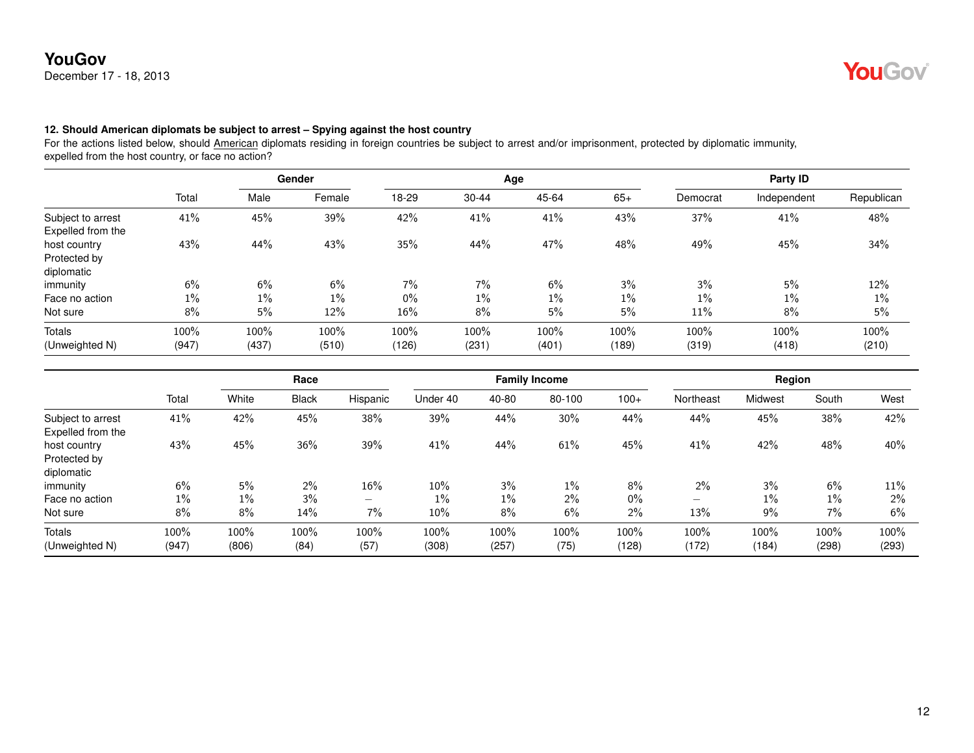December 17 - 18, 2013

# **YouGov**

### **12. Should American diplomats be subject to arrest – Spying against the host country**

|                   | <b>Gender</b> |       |        | Age   |           |       |       |          | Party ID    |            |  |  |
|-------------------|---------------|-------|--------|-------|-----------|-------|-------|----------|-------------|------------|--|--|
|                   | Total         | Male  | Female | 18-29 | $30 - 44$ | 45-64 | $65+$ | Democrat | Independent | Republican |  |  |
| Subject to arrest | 41%           | 45%   | 39%    | 42%   | 41%       | 41%   | 43%   | 37%      | 41%         | 48%        |  |  |
| Expelled from the |               |       |        |       |           |       |       |          |             |            |  |  |
| host country      | 43%           | 44%   | 43%    | 35%   | 44%       | 47%   | 48%   | 49%      | 45%         | 34%        |  |  |
| Protected by      |               |       |        |       |           |       |       |          |             |            |  |  |
| diplomatic        |               |       |        |       |           |       |       |          |             |            |  |  |
| immunity          | 6%            | 6%    | 6%     | 7%    | 7%        | 6%    | 3%    | 3%       | 5%          | 12%        |  |  |
| Face no action    | $1\%$         | $1\%$ | $1\%$  | $0\%$ | $1\%$     | $1\%$ | $1\%$ | $1\%$    | $1\%$       | $1\%$      |  |  |
| Not sure          | 8%            | 5%    | 12%    | 16%   | 8%        | 5%    | 5%    | 11%      | 8%          | 5%         |  |  |
| Totals            | 100%          | 100%  | 100%   | 100%  | 100%      | 100%  | 100%  | 100%     | 100%        | 100%       |  |  |
| (Unweighted N)    | (947)         | (437) | (510)  | (126) | (231)     | (401) | (189) | (319)    | (418)       | (210)      |  |  |

|                                            |               |               | Race         |                          |               |               | <b>Family Income</b> |               |                          | Region        |               |               |
|--------------------------------------------|---------------|---------------|--------------|--------------------------|---------------|---------------|----------------------|---------------|--------------------------|---------------|---------------|---------------|
|                                            | Total         | White         | <b>Black</b> | Hispanic                 | Under 40      | 40-80         | 80-100               | $100+$        | Northeast                | Midwest       | South         | West          |
| Subject to arrest<br>Expelled from the     | 41%           | 42%           | 45%          | 38%                      | 39%           | 44%           | 30%                  | 44%           | 44%                      | 45%           | 38%           | 42%           |
| host country<br>Protected by<br>diplomatic | 43%           | 45%           | 36%          | 39%                      | 41%           | 44%           | 61%                  | 45%           | 41%                      | 42%           | 48%           | 40%           |
| immunity                                   | 6%            | 5%            | $2\%$        | $16\%$                   | 10%           | 3%            | $1\%$                | 8%            | 2%                       | 3%            | 6%            | 11%           |
| Face no action                             | $1\%$         | $1\%$         | 3%           | $\overline{\phantom{0}}$ | 1%            | $1\%$         | 2%                   | $0\%$         | $\overline{\phantom{0}}$ | $1\%$         | $1\%$         | $2\%$         |
| Not sure                                   | 8%            | 8%            | 14%          | 7%                       | 10%           | 8%            | 6%                   | $2\%$         | 13%                      | 9%            | 7%            | 6%            |
| Totals<br>(Unweighted N)                   | 100%<br>(947) | 100%<br>(806) | 100%<br>(84) | 100%<br>(57)             | 100%<br>(308) | 100%<br>(257) | 100%<br>(75)         | 100%<br>(128) | 100%<br>(172)            | 100%<br>(184) | 100%<br>(298) | 100%<br>(293) |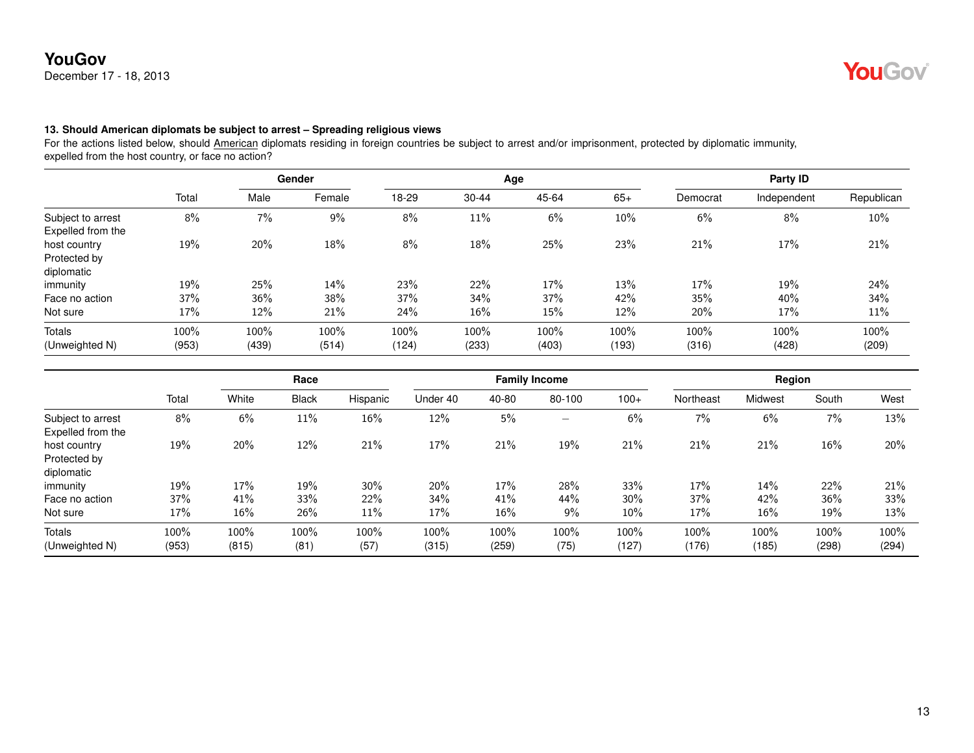December 17 - 18, 2013

# **YouGov**

### **13. Should American diplomats be subject to arrest – Spreading religious views**

|                   |       | <b>Gender</b> |        |       |           | Age   | Party ID |          |             |            |
|-------------------|-------|---------------|--------|-------|-----------|-------|----------|----------|-------------|------------|
|                   | Total | Male          | Female | 18-29 | $30 - 44$ | 45-64 | $65+$    | Democrat | Independent | Republican |
| Subject to arrest | 8%    | 7%            | 9%     | 8%    | 11%       | 6%    | 10%      | 6%       | 8%          | 10%        |
| Expelled from the |       |               |        |       |           |       |          |          |             |            |
| host country      | 19%   | 20%           | 18%    | 8%    | 18%       | 25%   | 23%      | 21%      | 17%         | 21%        |
| Protected by      |       |               |        |       |           |       |          |          |             |            |
| diplomatic        |       |               |        |       |           |       |          |          |             |            |
| immunity          | 19%   | 25%           | 14%    | 23%   | 22%       | 17%   | 13%      | 17%      | 19%         | 24%        |
| Face no action    | 37%   | 36%           | 38%    | 37%   | 34%       | 37%   | 42%      | 35%      | 40%         | 34%        |
| Not sure          | 17%   | 12%           | 21%    | 24%   | 16%       | 15%   | 12%      | 20%      | 17%         | 11%        |
| Totals            | 100%  | 100%          | 100%   | 100%  | 100%      | 100%  | 100%     | 100%     | 100%        | 100%       |
| (Unweighted N)    | (953) | (439)         | (514)  | (124) | (233)     | (403) | (193)    | (316)    | (428)       | (209)      |

|                                            |               |               | Race         |              |               |               | <b>Family Income</b>            |               | Region        |               |               |               |
|--------------------------------------------|---------------|---------------|--------------|--------------|---------------|---------------|---------------------------------|---------------|---------------|---------------|---------------|---------------|
|                                            | Total         | White         | <b>Black</b> | Hispanic     | Under 40      | 40-80         | 80-100                          | $100+$        | Northeast     | Midwest       | South         | West          |
| Subject to arrest<br>Expelled from the     | 8%            | 6%            | 11%          | 16%          | 12%           | 5%            | $\hspace{0.1mm}-\hspace{0.1mm}$ | 6%            | 7%            | 6%            | 7%            | 13%           |
| host country<br>Protected by<br>diplomatic | 19%           | 20%           | 12%          | 21%          | 17%           | 21%           | 19%                             | 21%           | 21%           | 21%           | 16%           | 20%           |
| immunity                                   | 19%           | 17%           | 19%          | 30%          | 20%           | 17%           | 28%                             | 33%           | 17%           | 14%           | 22%           | 21%           |
| Face no action                             | 37%           | 41%           | 33%          | 22%          | 34%           | 41%           | 44%                             | $30\%$        | 37%           | 42%           | 36%           | 33%           |
| Not sure                                   | 17%           | 16%           | 26%          | 11%          | 17%           | $16\%$        | 9%                              | $10\%$        | 17%           | $16\%$        | 19%           | 13%           |
| Totals<br>(Unweighted N)                   | 100%<br>(953) | 100%<br>(815) | 100%<br>(81) | 100%<br>(57) | 100%<br>(315) | 100%<br>(259) | 100%<br>(75)                    | 100%<br>(127) | 100%<br>(176) | 100%<br>(185) | 100%<br>(298) | 100%<br>(294) |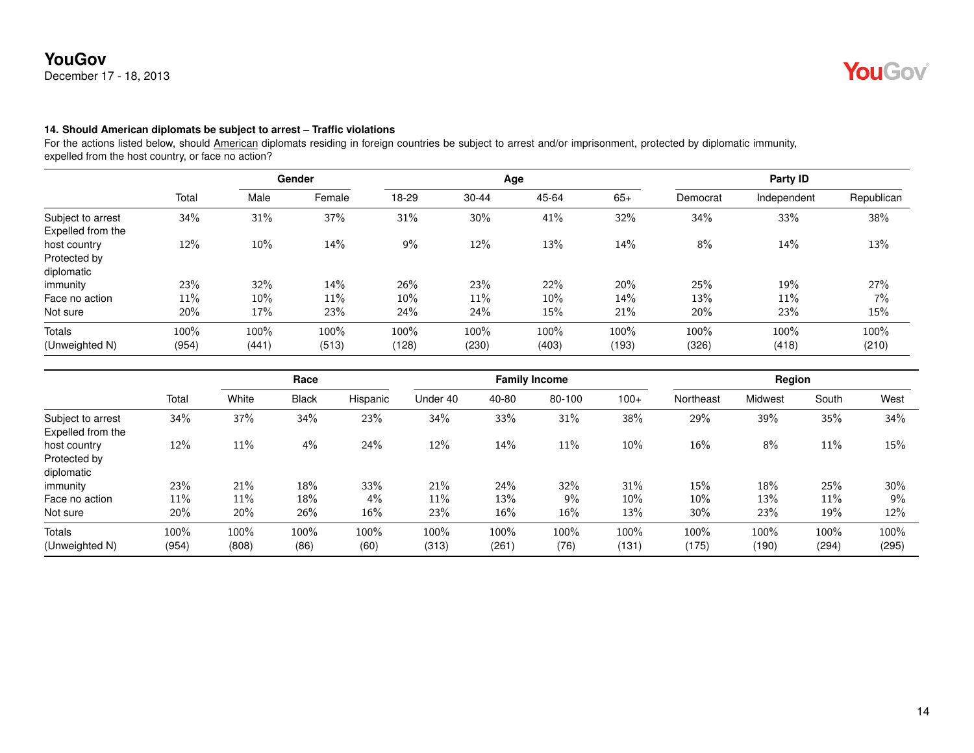December 17 - 18, 2013

# **YouGov**

### **14. Should American diplomats be subject to arrest – Traffic violations**

|                   |       |       | Gender |        |       | Age   | Party ID |          |             |            |
|-------------------|-------|-------|--------|--------|-------|-------|----------|----------|-------------|------------|
|                   | Total | Male  | Female | 18-29  | 30-44 | 45-64 | $65+$    | Democrat | Independent | Republican |
| Subject to arrest | 34%   | 31%   | 37%    | 31%    | 30%   | 41%   | 32%      | 34%      | 33%         | 38%        |
| Expelled from the |       |       |        |        |       |       |          |          |             |            |
| host country      | 12%   | 10%   | 14%    | 9%     | 12%   | 13%   | 14%      | 8%       | 14%         | 13%        |
| Protected by      |       |       |        |        |       |       |          |          |             |            |
| diplomatic        |       |       |        |        |       |       |          |          |             |            |
| immunity          | 23%   | 32%   | 14%    | 26%    | 23%   | 22%   | 20%      | 25%      | 19%         | 27%        |
| Face no action    | 11%   | 10%   | 11%    | $10\%$ | 11%   | 10%   | 14%      | 13%      | 11%         | 7%         |
| Not sure          | 20%   | 17%   | 23%    | 24%    | 24%   | 15%   | 21%      | 20%      | 23%         | 15%        |
| Totals            | 100%  | 100%  | 100%   | 100%   | 100%  | 100%  | 100%     | 100%     | 100%        | 100%       |
| (Unweighted N)    | (954) | (441) | (513)  | (128)  | (230) | (403) | (193)    | (326)    | (418)       | (210)      |

|                                            |               | Race          |              |              |               |               | <b>Family Income</b> |               | Region        |               |               |               |
|--------------------------------------------|---------------|---------------|--------------|--------------|---------------|---------------|----------------------|---------------|---------------|---------------|---------------|---------------|
|                                            | Total         | White         | <b>Black</b> | Hispanic     | Under 40      | 40-80         | 80-100               | $100+$        | Northeast     | Midwest       | South         | West          |
| Subject to arrest<br>Expelled from the     | 34%           | 37%           | 34%          | 23%          | 34%           | 33%           | 31%                  | 38%           | 29%           | 39%           | 35%           | 34%           |
| host country<br>Protected by<br>diplomatic | 12%           | 11%           | 4%           | 24%          | 12%           | 14%           | 11%                  | 10%           | 16%           | 8%            | 11%           | 15%           |
| immunity                                   | 23%           | 21%           | 18%          | 33%          | 21%           | 24%           | 32%                  | 31%           | 15%           | 18%           | 25%           | $30\%$        |
| Face no action                             | 11%           | 11%           | 18%          | 4%           | 11%           | 13%           | 9%                   | 10%           | 10%           | 13%           | 11%           | 9%            |
| Not sure                                   | 20%           | 20%           | 26%          | 16%          | 23%           | 16%           | 16%                  | 13%           | 30%           | 23%           | 19%           | 12%           |
| Totals<br>(Unweighted N)                   | 100%<br>(954) | 100%<br>(808) | 100%<br>(86) | 100%<br>(60) | 100%<br>(313) | 100%<br>(261) | 100%<br>(76)         | 100%<br>(131) | 100%<br>(175) | 100%<br>(190) | 100%<br>(294) | 100%<br>(295) |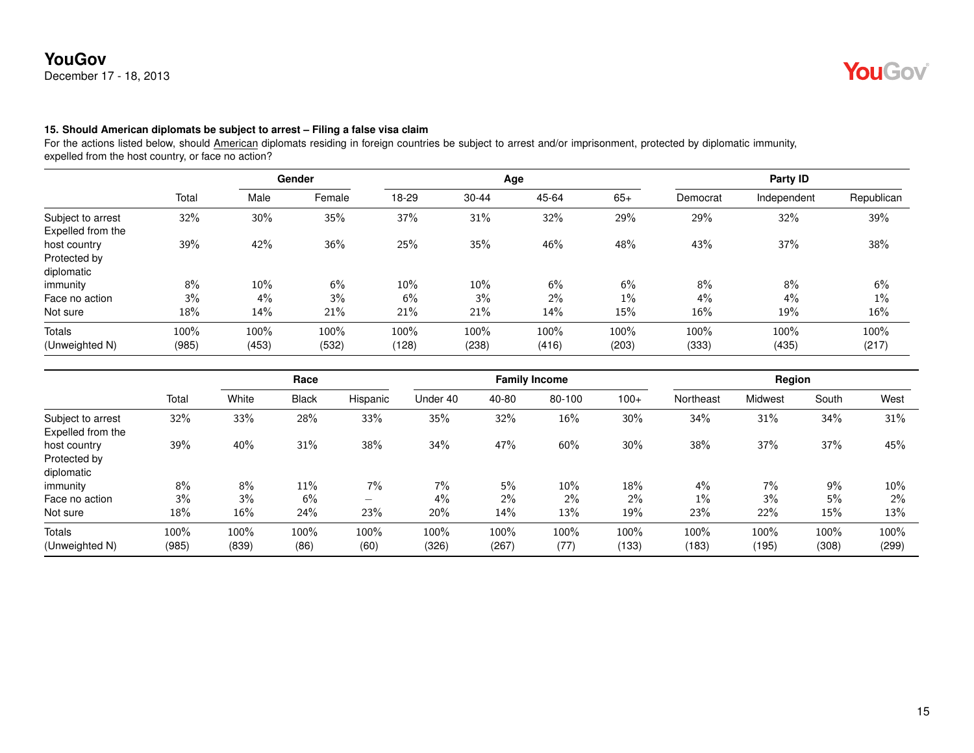December 17 - 18, 2013

# **YouGov**

### **15. Should American diplomats be subject to arrest – Filing a false visa claim**

|                   |       |       | Gender |       |        | Age   | Party ID |          |             |            |
|-------------------|-------|-------|--------|-------|--------|-------|----------|----------|-------------|------------|
|                   | Total | Male  | Female | 18-29 | 30-44  | 45-64 | $65+$    | Democrat | Independent | Republican |
| Subject to arrest | 32%   | 30%   | 35%    | 37%   | 31%    | 32%   | 29%      | 29%      | 32%         | 39%        |
| Expelled from the |       |       |        |       |        |       |          |          |             |            |
| host country      | 39%   | 42%   | 36%    | 25%   | 35%    | 46%   | 48%      | 43%      | 37%         | 38%        |
| Protected by      |       |       |        |       |        |       |          |          |             |            |
| diplomatic        |       |       |        |       |        |       |          |          |             |            |
| immunity          | 8%    | 10%   | 6%     | 10%   | $10\%$ | 6%    | 6%       | 8%       | 8%          | 6%         |
| Face no action    | 3%    | $4\%$ | 3%     | 6%    | 3%     | 2%    | $1\%$    | $4\%$    | $4\%$       | 1%         |
| Not sure          | 18%   | 14%   | 21%    | 21%   | 21%    | 14%   | 15%      | 16%      | 19%         | 16%        |
| Totals            | 100%  | 100%  | 100%   | 100%  | 100%   | 100%  | 100%     | 100%     | 100%        | 100%       |
| (Unweighted N)    | (985) | (453) | (532)  | (128) | (238)  | (416) | (203)    | (333)    | (435)       | (217)      |

|                                            |               |               | Race         |                          |               |               | <b>Family Income</b> |               | Region        |               |               |               |
|--------------------------------------------|---------------|---------------|--------------|--------------------------|---------------|---------------|----------------------|---------------|---------------|---------------|---------------|---------------|
|                                            | Total         | White         | <b>Black</b> | Hispanic                 | Under 40      | 40-80         | 80-100               | $100+$        | Northeast     | Midwest       | South         | West          |
| Subject to arrest<br>Expelled from the     | 32%           | 33%           | 28%          | 33%                      | 35%           | 32%           | $16\%$               | 30%           | 34%           | 31%           | 34%           | 31%           |
| host country<br>Protected by<br>diplomatic | 39%           | 40%           | 31%          | 38%                      | 34%           | 47%           | 60%                  | 30%           | 38%           | 37%           | 37%           | 45%           |
| immunity                                   | 8%            | 8%            | 11%          | 7%                       | 7%            | 5%            | 10%                  | 18%           | 4%            | 7%            | 9%            | $10\%$        |
| Face no action                             | 3%            | 3%            | 6%           | $\overline{\phantom{0}}$ | $4\%$         | 2%            | 2%                   | $2\%$         | $1\%$         | 3%            | 5%            | $2\%$         |
| Not sure                                   | 18%           | 16%           | 24%          | 23%                      | 20%           | 14%           | 13%                  | 19%           | 23%           | 22%           | 15%           | 13%           |
| Totals<br>(Unweighted N)                   | 100%<br>(985) | 100%<br>(839) | 100%<br>(86) | 100%<br>(60)             | 100%<br>(326) | 100%<br>(267) | 100%<br>(77)         | 100%<br>(133) | 100%<br>(183) | 100%<br>(195) | 100%<br>(308) | 100%<br>(299) |